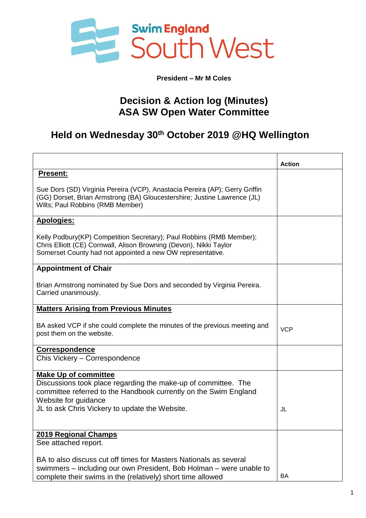

**President – Mr M Coles**

## **Decision & Action log (Minutes) ASA SW Open Water Committee**

## **Held on Wednesday 30th October 2019 @HQ Wellington**

|                                                                                                                                                                                                                                             | <b>Action</b> |
|---------------------------------------------------------------------------------------------------------------------------------------------------------------------------------------------------------------------------------------------|---------------|
| <b>Present:</b>                                                                                                                                                                                                                             |               |
| Sue Dors (SD) Virginia Pereira (VCP), Anastacia Pereira (AP); Gerry Griffin<br>(GG) Dorset, Brian Armstrong (BA) Gloucestershire; Justine Lawrence (JL)<br>Wilts; Paul Robbins (RMB Member)                                                 |               |
| <b>Apologies:</b>                                                                                                                                                                                                                           |               |
| Kelly Podbury(KP) Competition Secretary); Paul Robbins (RMB Member);<br>Chris Elliott (CE) Cornwall, Alison Browning (Devon), Nikki Taylor<br>Somerset County had not appointed a new OW representative.                                    |               |
| <b>Appointment of Chair</b>                                                                                                                                                                                                                 |               |
| Brian Armstrong nominated by Sue Dors and seconded by Virginia Pereira.<br>Carried unanimously.                                                                                                                                             |               |
| <b>Matters Arising from Previous Minutes</b>                                                                                                                                                                                                |               |
| BA asked VCP if she could complete the minutes of the previous meeting and<br>post them on the website.                                                                                                                                     | <b>VCP</b>    |
| <b>Correspondence</b><br>Chis Vickery - Correspondence                                                                                                                                                                                      |               |
| <b>Make Up of committee</b><br>Discussions took place regarding the make-up of committee. The<br>committee referred to the Handbook currently on the Swim England<br>Website for guidance<br>JL to ask Chris Vickery to update the Website. | JL            |
| 2019 Regional Champs                                                                                                                                                                                                                        |               |
| See attached report.                                                                                                                                                                                                                        |               |
| BA to also discuss cut off times for Masters Nationals as several<br>swimmers – including our own President, Bob Holman – were unable to<br>complete their swims in the (relatively) short time allowed                                     | BA            |